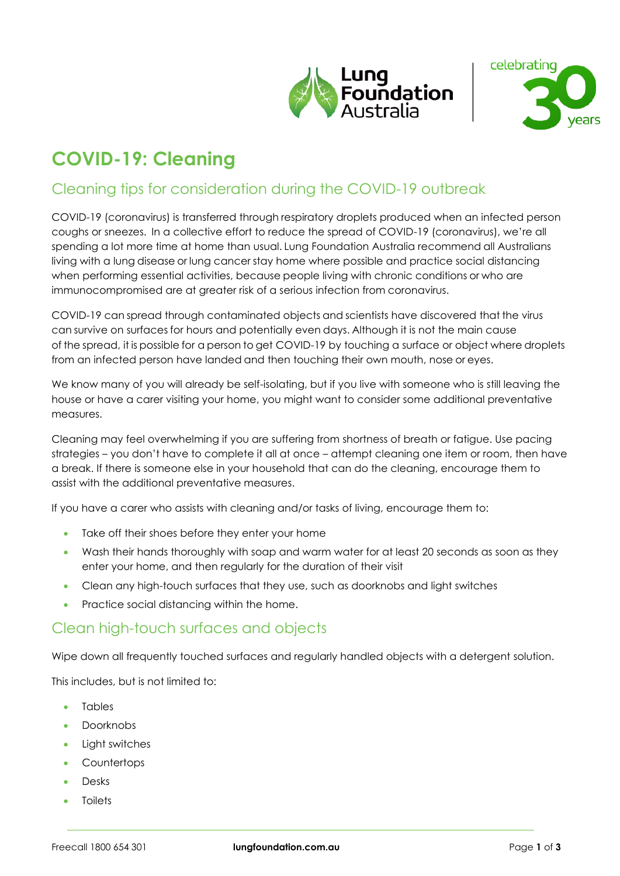



# **COVID-19: Cleaning**

# Cleaning tips for consideration during the COVID-19 outbreak

COVID-19 (coronavirus) is transferred through respiratory droplets produced when an infected person coughs or sneezes. In a collective effort to reduce the spread of COVID-19 (coronavirus), we're all spending a lot more time at home than usual. Lung Foundation Australia recommend all Australians living with a lung disease or lung cancer stay home where possible and practice social distancing when performing essential activities, because people living with chronic conditions or who are immunocompromised are at greater risk of a serious infection from coronavirus.  

COVID-19 can spread through contaminated objects and scientists have discovered that the virus can survive on surfaces for hours and potentially even days. Although it is not the main cause of the spread, it is possible for a person to get COVID-19 by touching a surface or object where droplets from an infected person have landed and then touching their own mouth, nose or eyes.

We know many of you will already be self-isolating, but if you live with someone who is still leaving the house or have a carer visiting your home, you might want to consider some additional preventative measures.

Cleaning may feel overwhelming if you are suffering from shortness of breath or fatigue. Use pacing strategies – you don't have to complete it all at once – attempt cleaning one item or room, then have a break. If there is someone else in your household that can do the cleaning, encourage them to assist with the additional preventative measures.

If you have a carer who assists with cleaning and/or tasks of living, encourage them to:

- Take off their shoes before they enter your home
- Wash their hands thoroughly with soap and warm water for at least 20 seconds as soon as they enter your home, and then regularly for the duration of their visit
- Clean any high-touch surfaces that they use, such as doorknobs and light switches
- Practice social distancing within the home.

#### Clean high-touch surfaces and objects

Wipe down all frequently touched surfaces and regularly handled objects with a detergent solution.

This includes, but is not limited to:

- **Tables**
- Doorknobs
- Light switches
- Countertops
- Desks
- **Toilets**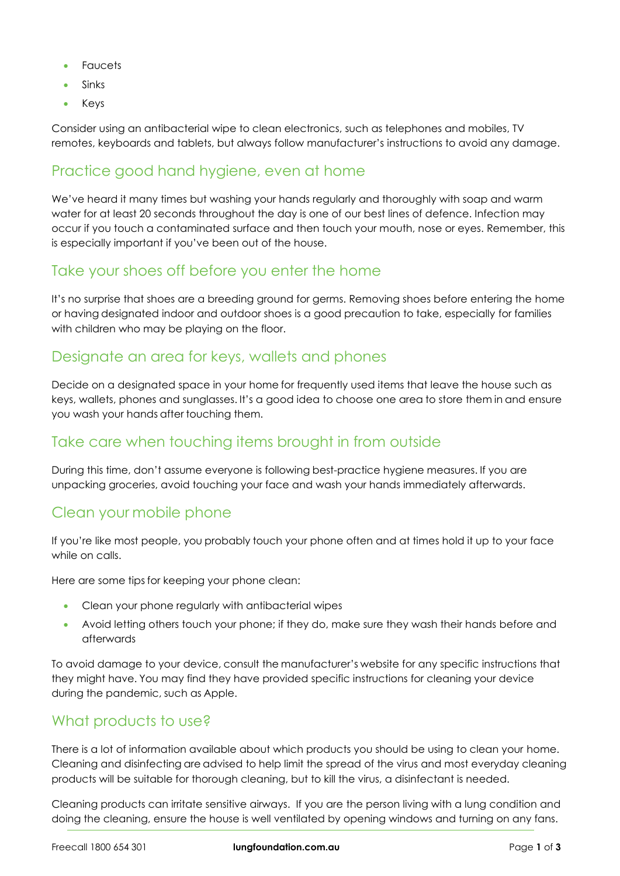- Faucets
- **Sinks**
- Keys

Consider using an antibacterial wipe to clean electronics, such as telephones and mobiles, TV remotes, keyboards and tablets, but always follow manufacturer's instructions to avoid any damage.

## Practice good hand hygiene, even at home

We've heard it many times but washing your hands regularly and thoroughly with soap and warm water for at least 20 seconds throughout the day is one of our best lines of defence. Infection may occur if you touch a contaminated surface and then touch your mouth, nose or eyes. Remember, this is especially important if you've been out of the house.

#### Take your shoes off before you enter the home

It's no surprise that shoes are a breeding ground for germs. Removing shoes before entering the home or having designated indoor and outdoor shoes is a good precaution to take, especially for families with children who may be playing on the floor.

#### Designate an area for keys, wallets and phones

Decide on a designated space in your home for frequently used items that leave the house such as keys, wallets, phones and sunglasses. It's a good idea to choose one area to store them in and ensure you wash your hands after touching them.  

## Take care when touching items brought in from outside

During this time, don't assume everyone is following best-practice hygiene measures. If you are unpacking groceries, avoid touching your face and wash your hands immediately afterwards.

#### Clean your mobile phone

If you're like most people, you probably touch your phone often and at times hold it up to your face while on calls.

Here are some tips for keeping your phone clean:

- Clean your phone regularly with antibacterial wipes
- Avoid letting others touch your phone; if they do, make sure they wash their hands before and afterwards

To avoid damage to your device, consult the manufacturer's website for any specific instructions that they might have. You may find they have provided specific instructions for cleaning your device during the pandemic, such as Apple.  

## What products to use?

There is a lot of information available about which products you should be using to clean your home. Cleaning and disinfecting are advised to help limit the spread of the virus and most everyday cleaning products will be suitable for thorough cleaning, but to kill the virus, a disinfectant is needed.  

Cleaning products can irritate sensitive airways. If you are the person living with a lung condition and doing the cleaning, ensure the house is well ventilated by opening windows and turning on any fans.